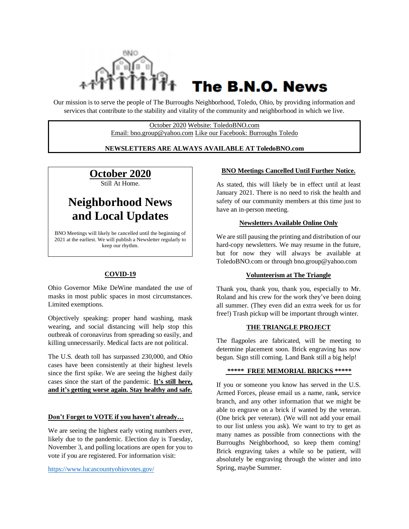

# The B.N.O. News

Our mission is to serve the people of The Burroughs Neighborhood, Toledo, Ohio, by providing information and services that contribute to the stability and vitality of the community and neighborhood in which we live.

> October 2020 Website: ToledoBNO.com Email: bno.group@yahoo.com Like our Facebook: Burroughs Toledo

## **NEWSLETTERS ARE ALWAYS AVAILABLE AT ToledoBNO.com**

**October 2020** Still At Home.

# **Neighborhood News and Local Updates**

BNO Meetings will likely be cancelled until the beginning of 2021 at the earliest. We will publish a Newsletter regularly to keep our rhythm.

# **COVID-19**

Ohio Governor Mike DeWine mandated the use of masks in most public spaces in most circumstances. Limited exemptions.

Objectively speaking: proper hand washing, mask wearing, and social distancing will help stop this outbreak of coronavirus from spreading so easily, and killing unnecessarily. Medical facts are not political.

The U.S. death toll has surpassed 230,000, and Ohio cases have been consistently at their highest levels since the first spike. We are seeing the highest daily cases since the start of the pandemic. **It's still here, and it's getting worse again. Stay healthy and safe.**

#### **Don't Forget to VOTE if you haven't already…**

We are seeing the highest early voting numbers ever, likely due to the pandemic. Election day is Tuesday, November 3, and polling locations are open for you to vote if you are registered. For information visit:

<https://www.lucascountyohiovotes.gov/>

# **BNO Meetings Cancelled Until Further Notice.**

As stated, this will likely be in effect until at least January 2021. There is no need to risk the health and safety of our community members at this time just to have an in-person meeting.

## **Newsletters Available Online Only**

We are still pausing the printing and distribution of our hard-copy newsletters. We may resume in the future, but for now they will always be available at ToledoBNO.com or through bno.group@yahoo.com

#### **Volunteerism at The Triangle**

Thank you, thank you, thank you, especially to Mr. Roland and his crew for the work they've been doing all summer. (They even did an extra week for us for free!) Trash pickup will be important through winter.

#### **THE TRIANGLE PROJECT**

The flagpoles are fabricated, will be meeting to determine placement soon. Brick engraving has now begun. Sign still coming. Land Bank still a big help!

#### **\*\*\*\*\* FREE MEMORIAL BRICKS \*\*\*\*\***

If you or someone you know has served in the U.S. Armed Forces, please email us a name, rank, service branch, and any other information that we might be able to engrave on a brick if wanted by the veteran. (One brick per veteran). (We will not add your email to our list unless you ask). We want to try to get as many names as possible from connections with the Burroughs Neighborhood, so keep them coming! Brick engraving takes a while so be patient, will absolutely be engraving through the winter and into Spring, maybe Summer.